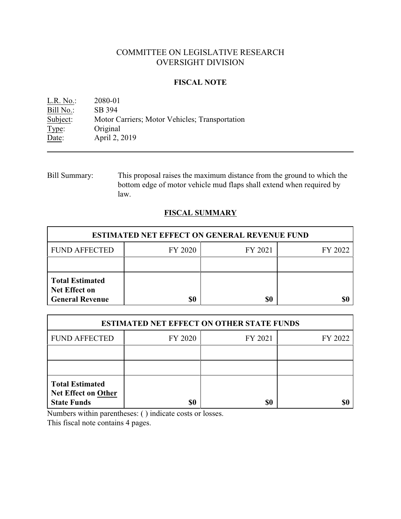# COMMITTEE ON LEGISLATIVE RESEARCH OVERSIGHT DIVISION

### **FISCAL NOTE**

L.R. No.: 2080-01 Bill No.: SB 394<br>Subject: Motor C Subject: Motor Carriers; Motor Vehicles; Transportation Type: Original Original Date: April 2, 2019

Bill Summary: This proposal raises the maximum distance from the ground to which the bottom edge of motor vehicle mud flaps shall extend when required by law.

## **FISCAL SUMMARY**

| <b>ESTIMATED NET EFFECT ON GENERAL REVENUE FUND</b>                      |         |         |         |  |
|--------------------------------------------------------------------------|---------|---------|---------|--|
| <b>FUND AFFECTED</b>                                                     | FY 2020 | FY 2021 | FY 2022 |  |
|                                                                          |         |         |         |  |
| <b>Total Estimated</b><br><b>Net Effect on</b><br><b>General Revenue</b> |         | \$0     |         |  |

| <b>ESTIMATED NET EFFECT ON OTHER STATE FUNDS</b>                           |         |         |         |  |
|----------------------------------------------------------------------------|---------|---------|---------|--|
| <b>FUND AFFECTED</b>                                                       | FY 2020 | FY 2021 | FY 2022 |  |
|                                                                            |         |         |         |  |
|                                                                            |         |         |         |  |
| <b>Total Estimated</b><br><b>Net Effect on Other</b><br><b>State Funds</b> |         | \$0     |         |  |

Numbers within parentheses: ( ) indicate costs or losses.

This fiscal note contains 4 pages.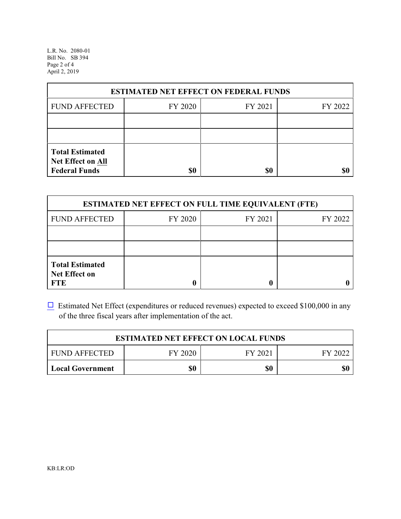L.R. No. 2080-01 Bill No. SB 394 Page 2 of 4 April 2, 2019

| <b>ESTIMATED NET EFFECT ON FEDERAL FUNDS</b>                        |         |         |         |  |
|---------------------------------------------------------------------|---------|---------|---------|--|
| <b>FUND AFFECTED</b>                                                | FY 2020 | FY 2021 | FY 2022 |  |
|                                                                     |         |         |         |  |
|                                                                     |         |         |         |  |
| <b>Total Estimated</b><br>Net Effect on All<br><b>Federal Funds</b> | \$0     | \$0     |         |  |

| <b>ESTIMATED NET EFFECT ON FULL TIME EQUIVALENT (FTE)</b>    |         |         |         |  |
|--------------------------------------------------------------|---------|---------|---------|--|
| <b>FUND AFFECTED</b>                                         | FY 2020 | FY 2021 | FY 2022 |  |
|                                                              |         |         |         |  |
|                                                              |         |         |         |  |
| <b>Total Estimated</b><br><b>Net Effect on</b><br><b>FTE</b> |         |         |         |  |

 $\Box$  Estimated Net Effect (expenditures or reduced revenues) expected to exceed \$100,000 in any of the three fiscal years after implementation of the act.

| <b>ESTIMATED NET EFFECT ON LOCAL FUNDS</b> |         |         |         |
|--------------------------------------------|---------|---------|---------|
| <b>FUND AFFECTED</b>                       | FY 2020 | FY 2021 | FY 2022 |
| <b>Local Government</b>                    | \$0     | \$0     | \$0     |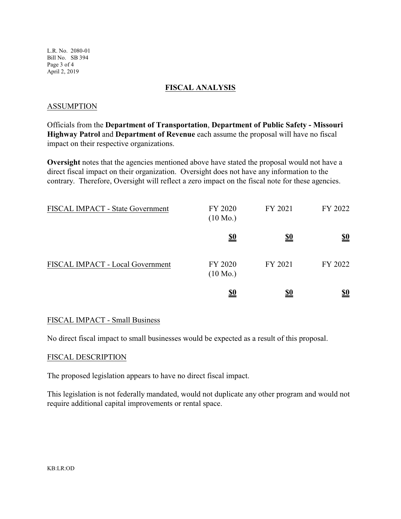L.R. No. 2080-01 Bill No. SB 394 Page 3 of 4 April 2, 2019

### **FISCAL ANALYSIS**

### ASSUMPTION

Officials from the **Department of Transportation**, **Department of Public Safety - Missouri Highway Patrol** and **Department of Revenue** each assume the proposal will have no fiscal impact on their respective organizations.

**Oversight** notes that the agencies mentioned above have stated the proposal would not have a direct fiscal impact on their organization. Oversight does not have any information to the contrary. Therefore, Oversight will reflect a zero impact on the fiscal note for these agencies.

| FISCAL IMPACT - State Government | FY 2020<br>$(10 \text{ Mo.})$ | FY 2021    | FY 2022                       |
|----------------------------------|-------------------------------|------------|-------------------------------|
|                                  | <u>\$0</u>                    | <u>\$0</u> | $\underline{\underline{\$0}}$ |
| FISCAL IMPACT - Local Government | FY 2020<br>$(10 \text{ Mo.})$ | FY 2021    | FY 2022                       |
|                                  | <u>\$0</u>                    | <u>\$0</u> | <u>\$0</u>                    |

### FISCAL IMPACT - Small Business

No direct fiscal impact to small businesses would be expected as a result of this proposal.

#### FISCAL DESCRIPTION

The proposed legislation appears to have no direct fiscal impact.

This legislation is not federally mandated, would not duplicate any other program and would not require additional capital improvements or rental space.